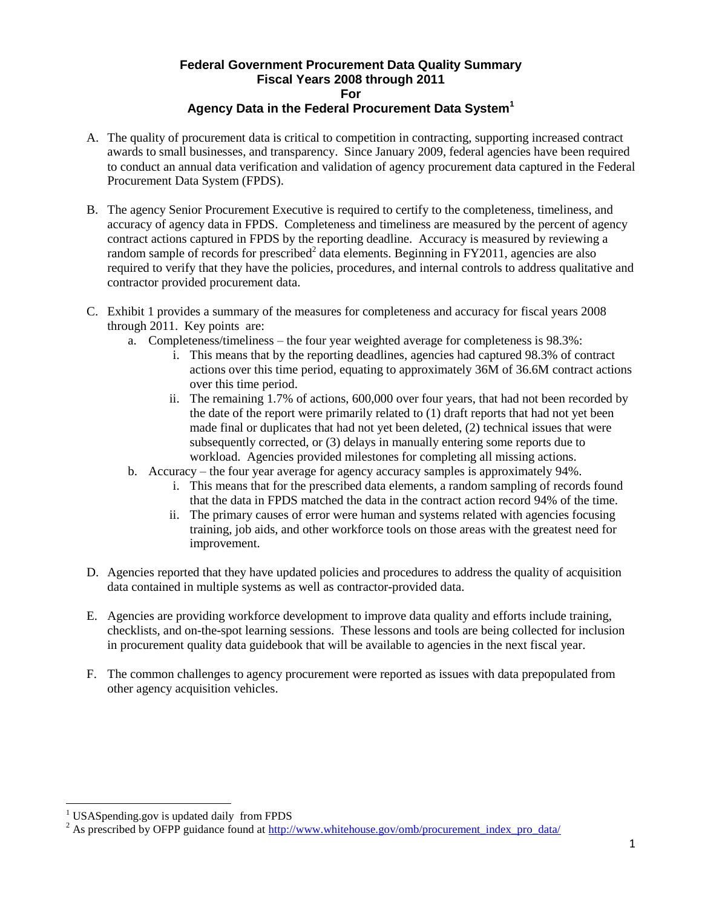## **Federal Government Procurement Data Quality Summary Fiscal Years 2008 through 2011 For Agency Data in the Federal Procurement Data System<sup>1</sup>**

- A. The quality of procurement data is critical to competition in contracting, supporting increased contract awards to small businesses, and transparency. Since January 2009, federal agencies have been required to conduct an annual data verification and validation of agency procurement data captured in the Federal Procurement Data System (FPDS).
- B. The agency Senior Procurement Executive is required to certify to the completeness, timeliness, and accuracy of agency data in FPDS. Completeness and timeliness are measured by the percent of agency contract actions captured in FPDS by the reporting deadline. Accuracy is measured by reviewing a random sample of records for prescribed<sup>2</sup> data elements. Beginning in FY2011, agencies are also required to verify that they have the policies, procedures, and internal controls to address qualitative and contractor provided procurement data.
- C. Exhibit 1 provides a summary of the measures for completeness and accuracy for fiscal years 2008 through 2011. Key points are:
	- a. Completeness/timeliness the four year weighted average for completeness is 98.3%:
		- i. This means that by the reporting deadlines, agencies had captured 98.3% of contract actions over this time period, equating to approximately 36M of 36.6M contract actions over this time period.
		- ii. The remaining 1.7% of actions, 600,000 over four years, that had not been recorded by the date of the report were primarily related to (1) draft reports that had not yet been made final or duplicates that had not yet been deleted, (2) technical issues that were subsequently corrected, or (3) delays in manually entering some reports due to workload. Agencies provided milestones for completing all missing actions.
	- b. Accuracy the four year average for agency accuracy samples is approximately 94%.
		- i. This means that for the prescribed data elements, a random sampling of records found that the data in FPDS matched the data in the contract action record 94% of the time.
		- ii. The primary causes of error were human and systems related with agencies focusing training, job aids, and other workforce tools on those areas with the greatest need for improvement.
- D. Agencies reported that they have updated policies and procedures to address the quality of acquisition data contained in multiple systems as well as contractor-provided data.
- E. Agencies are providing workforce development to improve data quality and efforts include training, checklists, and on-the-spot learning sessions. These lessons and tools are being collected for inclusion in procurement quality data guidebook that will be available to agencies in the next fiscal year.
- F. The common challenges to agency procurement were reported as issues with data prepopulated from other agency acquisition vehicles.

 $\overline{a}$ 

<sup>&</sup>lt;sup>1</sup> USASpending.gov is updated daily from FPDS

<sup>&</sup>lt;sup>2</sup> As prescribed by OFPP guidance found at http://www.whitehouse.gov/omb/procurement\_index\_pro\_data/